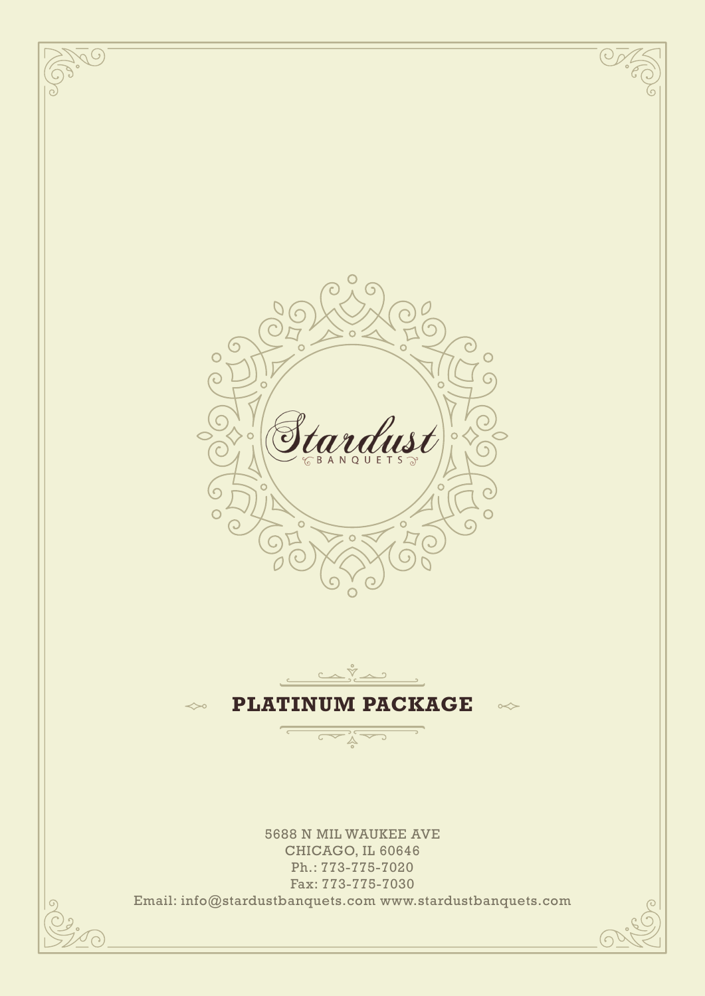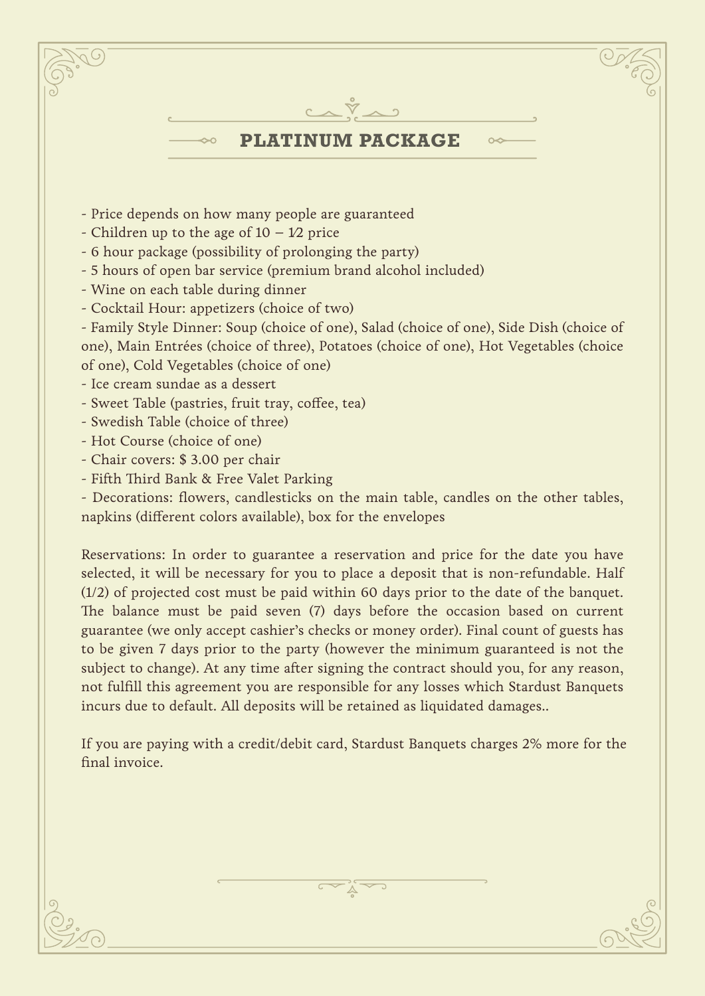

If you are paying with a credit/debit card, Stardust Banquets charges 2% more for the final invoice.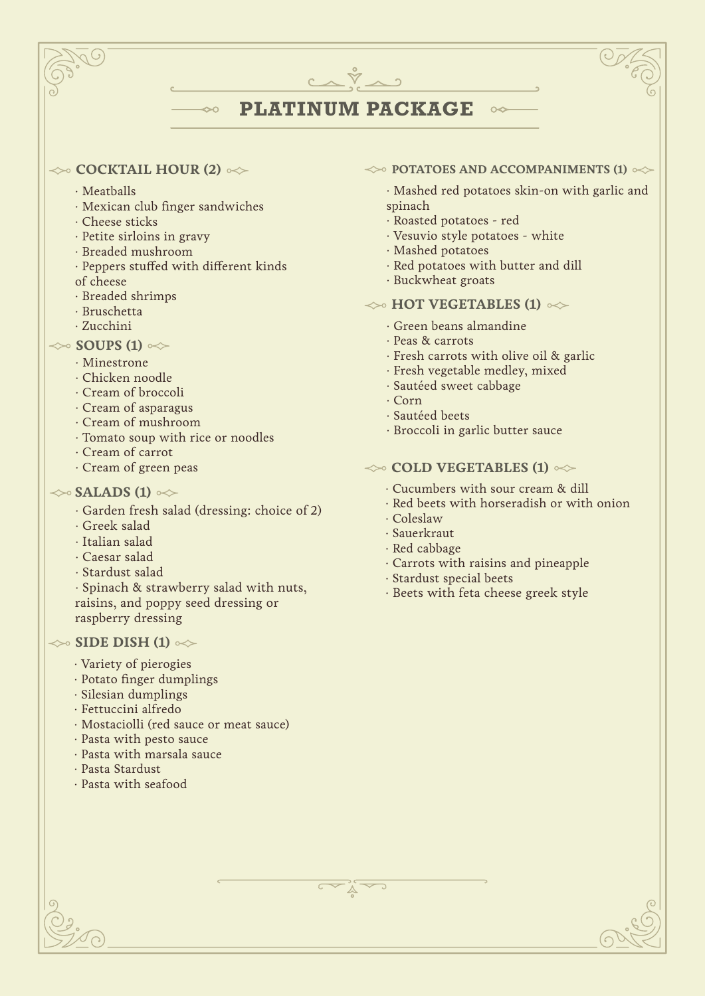# **PLATINUM PACKAGE**

### $\iff$  **COCKTAIL HOUR (2)**  $\iff$

- ∙ Meatballs
- ∙ Mexican club finger sandwiches

 $\rightsquigarrow$ 

- ∙ Cheese sticks
- ∙ Petite sirloins in gravy
- ∙ Breaded mushroom
- Peppers stuffed with different kinds
- of cheese
- ∙ Breaded shrimps
- ∙ Bruschetta
- ∙ Zucchini

# $\gg$  **SOUPS (1)**  $\ll$

- · Minestrone
- · Chicken noodle
- · Cream of broccoli
- · Cream of asparagus
- · Cream of mushroom
- · Tomato soup with rice or noodles
- · Cream of carrot
- · Cream of green peas

# $\gg$  **SALADS (1)**  $\approx$

- · Garden fresh salad (dressing: choice of 2)
- · Greek salad
- · Italian salad
- · Caesar salad
- · Stardust salad
- · Spinach & strawberry salad with nuts, raisins, and poppy seed dressing or raspberry dressing

# $\gg$  **SIDE DISH (1)**  $\gg$

- · Variety of pierogies
- · Potato finger dumplings
- · Silesian dumplings
- · Fettuccini alfredo
- · Mostaciolli (red sauce or meat sauce)
- · Pasta with pesto sauce
- · Pasta with marsala sauce
- · Pasta Stardust
- · Pasta with seafood

#### $\leftrightarrow$  **POTATOES AND ACCOMPANIMENTS (1)**  $\leftrightarrow$

 $\infty$ 

· Mashed red potatoes skin-on with garlic and spinach

- · Roasted potatoes red
- · Vesuvio style potatoes white
- · Mashed potatoes
- · Red potatoes with butter and dill
- · Buckwheat groats

# $\leftrightarrow$  **HOT VEGETABLES (1)**  $\infty$

- · Green beans almandine
- · Peas & carrots
- · Fresh carrots with olive oil & garlic
- · Fresh vegetable medley, mixed
- · Sautéed sweet cabbage
- · Corn
- · Sautéed beets
- · Broccoli in garlic butter sauce

#### $\leftrightarrow$  **COLD VEGETABLES (1)**  $\leftrightarrow$

- · Cucumbers with sour cream & dill
- · Red beets with horseradish or with onion
- · Coleslaw
- · Sauerkraut
- · Red cabbage
- · Carrots with raisins and pineapple
- · Stardust special beets
- · Beets with feta cheese greek style